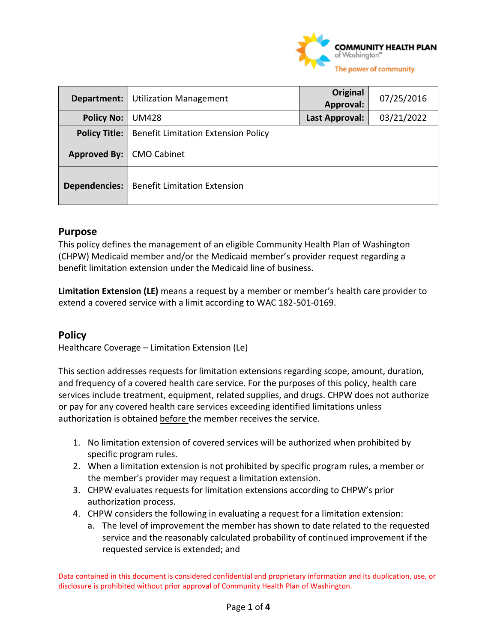

| Department:          | <b>Utilization Management</b>              | Original<br>Approval: | 07/25/2016 |
|----------------------|--------------------------------------------|-----------------------|------------|
| <b>Policy No:</b>    | <b>UM428</b>                               | Last Approval:        | 03/21/2022 |
| <b>Policy Title:</b> | <b>Benefit Limitation Extension Policy</b> |                       |            |
| Approved By:         | <b>CMO Cabinet</b>                         |                       |            |
| <b>Dependencies:</b> | <b>Benefit Limitation Extension</b>        |                       |            |

#### **Purpose**

This policy defines the management of an eligible Community Health Plan of Washington (CHPW) Medicaid member and/or the Medicaid member's provider request regarding a benefit limitation extension under the Medicaid line of business.

**Limitation Extension (LE)** means a request by a member or member's health care provider to extend a covered service with a limit according to WAC 182-501-0169.

#### **Policy**

Healthcare Coverage – Limitation Extension (Le)

This section addresses requests for limitation extensions regarding scope, amount, duration, and frequency of a covered health care service. For the purposes of this policy, health care services include treatment, equipment, related supplies, and drugs. CHPW does not authorize or pay for any covered health care services exceeding identified limitations unless authorization is obtained before the member receives the service.

- 1. No limitation extension of covered services will be authorized when prohibited by specific program rules.
- 2. When a limitation extension is not prohibited by specific program rules, a member or the member's provider may request a limitation extension.
- 3. CHPW evaluates requests for limitation extensions according to CHPW's prior authorization process.
- 4. CHPW considers the following in evaluating a request for a limitation extension:
	- a. The level of improvement the member has shown to date related to the requested service and the reasonably calculated probability of continued improvement if the requested service is extended; and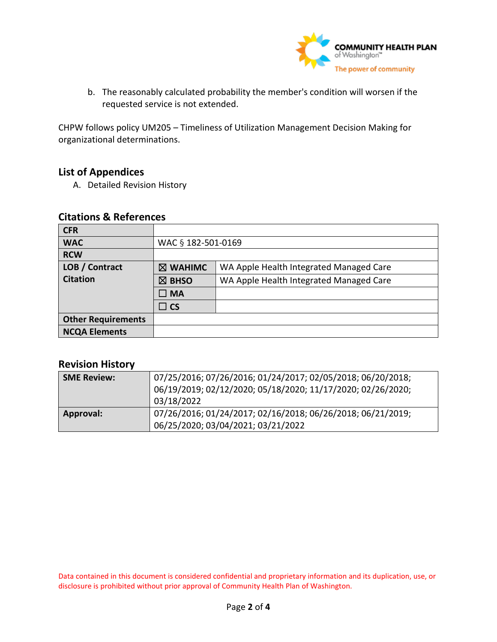

b. The reasonably calculated probability the member's condition will worsen if the requested service is not extended.

CHPW follows policy UM205 – Timeliness of Utilization Management Decision Making for organizational determinations.

### **List of Appendices**

A. Detailed Revision History

#### **Citations & References**

| <b>CFR</b>                |                                                             |                                         |
|---------------------------|-------------------------------------------------------------|-----------------------------------------|
| <b>WAC</b>                | WAC § 182-501-0169                                          |                                         |
| <b>RCW</b>                |                                                             |                                         |
| LOB / Contract            | $\boxtimes$ WAHIMC                                          | WA Apple Health Integrated Managed Care |
| <b>Citation</b>           | WA Apple Health Integrated Managed Care<br>$\boxtimes$ BHSO |                                         |
|                           | $\square$ MA                                                |                                         |
|                           | $\Box$ CS                                                   |                                         |
| <b>Other Requirements</b> |                                                             |                                         |
| <b>NCQA Elements</b>      |                                                             |                                         |

## **Revision History**

| <b>SME Review:</b> | 07/25/2016; 07/26/2016; 01/24/2017; 02/05/2018; 06/20/2018;<br>06/19/2019; 02/12/2020; 05/18/2020; 11/17/2020; 02/26/2020;<br>03/18/2022 |
|--------------------|------------------------------------------------------------------------------------------------------------------------------------------|
| <b>Approval:</b>   | 07/26/2016; 01/24/2017; 02/16/2018; 06/26/2018; 06/21/2019;<br>06/25/2020; 03/04/2021; 03/21/2022                                        |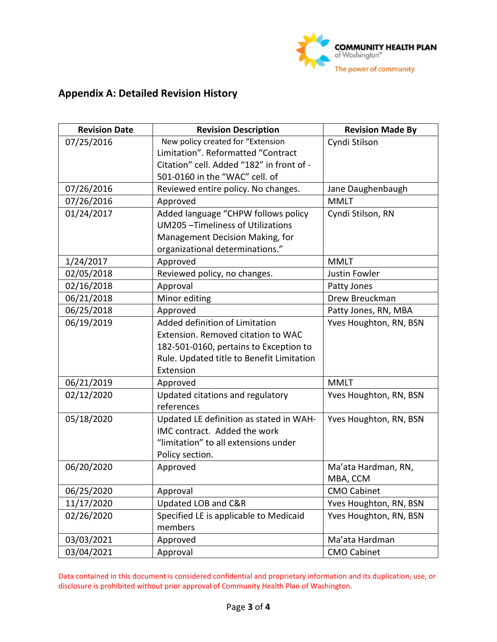

# **Appendix A: Detailed Revision History**

| <b>Revision Date</b> | <b>Revision Description</b>               | <b>Revision Made By</b> |
|----------------------|-------------------------------------------|-------------------------|
| 07/25/2016           | New policy created for "Extension         | Cyndi Stilson           |
|                      | Limitation". Reformatted "Contract        |                         |
|                      | Citation" cell. Added "182" in front of - |                         |
|                      | 501-0160 in the "WAC" cell. of            |                         |
| 07/26/2016           | Reviewed entire policy. No changes.       | Jane Daughenbaugh       |
| 07/26/2016           | Approved                                  | <b>MMLT</b>             |
| 01/24/2017           | Added language "CHPW follows policy       | Cyndi Stilson, RN       |
|                      | UM205-Timeliness of Utilizations          |                         |
|                      | Management Decision Making, for           |                         |
|                      | organizational determinations."           |                         |
| 1/24/2017            | Approved                                  | <b>MMLT</b>             |
| 02/05/2018           | Reviewed policy, no changes.              | Justin Fowler           |
| 02/16/2018           | Approval                                  | Patty Jones             |
| 06/21/2018           | Minor editing                             | Drew Breuckman          |
| 06/25/2018           | Approved                                  | Patty Jones, RN, MBA    |
| 06/19/2019           | Added definition of Limitation            | Yves Houghton, RN, BSN  |
|                      | Extension. Removed citation to WAC        |                         |
|                      | 182-501-0160, pertains to Exception to    |                         |
|                      | Rule. Updated title to Benefit Limitation |                         |
|                      | Extension                                 |                         |
| 06/21/2019           | Approved                                  | <b>MMLT</b>             |
| 02/12/2020           | Updated citations and regulatory          | Yves Houghton, RN, BSN  |
|                      | references                                |                         |
| 05/18/2020           | Updated LE definition as stated in WAH-   | Yves Houghton, RN, BSN  |
|                      | IMC contract. Added the work              |                         |
|                      | "limitation" to all extensions under      |                         |
|                      | Policy section.                           |                         |
| 06/20/2020           | Approved                                  | Ma'ata Hardman, RN,     |
|                      |                                           | MBA, CCM                |
| 06/25/2020           | Approval                                  | <b>CMO Cabinet</b>      |
| 11/17/2020           | Updated LOB and C&R                       | Yves Houghton, RN, BSN  |
| 02/26/2020           | Specified LE is applicable to Medicaid    | Yves Houghton, RN, BSN  |
|                      | members                                   |                         |
| 03/03/2021           | Approved                                  | Ma'ata Hardman          |
| 03/04/2021           | Approval                                  | <b>CMO Cabinet</b>      |